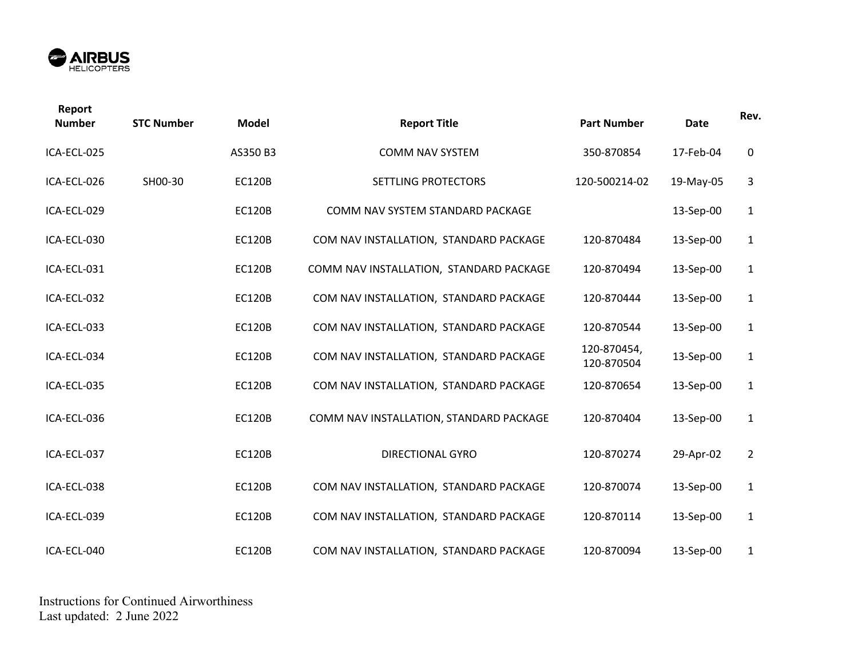

| Report<br><b>Number</b> | <b>STC Number</b> | <b>Model</b>  | <b>Report Title</b>                     | <b>Part Number</b>        | Date      | Rev.           |
|-------------------------|-------------------|---------------|-----------------------------------------|---------------------------|-----------|----------------|
| ICA-ECL-025             |                   | AS350 B3      | <b>COMM NAV SYSTEM</b>                  | 350-870854                | 17-Feb-04 | $\mathbf 0$    |
| ICA-ECL-026             | SH00-30           | <b>EC120B</b> | SETTLING PROTECTORS                     | 120-500214-02             | 19-May-05 | 3              |
| ICA-ECL-029             |                   | <b>EC120B</b> | COMM NAV SYSTEM STANDARD PACKAGE        |                           | 13-Sep-00 | $\mathbf{1}$   |
| ICA-ECL-030             |                   | <b>EC120B</b> | COM NAV INSTALLATION, STANDARD PACKAGE  | 120-870484                | 13-Sep-00 | $\mathbf{1}$   |
| ICA-ECL-031             |                   | <b>EC120B</b> | COMM NAV INSTALLATION, STANDARD PACKAGE | 120-870494                | 13-Sep-00 | $\mathbf{1}$   |
| ICA-ECL-032             |                   | <b>EC120B</b> | COM NAV INSTALLATION, STANDARD PACKAGE  | 120-870444                | 13-Sep-00 | $\mathbf{1}$   |
| ICA-ECL-033             |                   | <b>EC120B</b> | COM NAV INSTALLATION, STANDARD PACKAGE  | 120-870544                | 13-Sep-00 | $\mathbf{1}$   |
| ICA-ECL-034             |                   | <b>EC120B</b> | COM NAV INSTALLATION, STANDARD PACKAGE  | 120-870454,<br>120-870504 | 13-Sep-00 | $\mathbf{1}$   |
| ICA-ECL-035             |                   | <b>EC120B</b> | COM NAV INSTALLATION, STANDARD PACKAGE  | 120-870654                | 13-Sep-00 | $\mathbf{1}$   |
| ICA-ECL-036             |                   | <b>EC120B</b> | COMM NAV INSTALLATION, STANDARD PACKAGE | 120-870404                | 13-Sep-00 | $\mathbf{1}$   |
| ICA-ECL-037             |                   | <b>EC120B</b> | <b>DIRECTIONAL GYRO</b>                 | 120-870274                | 29-Apr-02 | $\overline{2}$ |
| ICA-ECL-038             |                   | <b>EC120B</b> | COM NAV INSTALLATION, STANDARD PACKAGE  | 120-870074                | 13-Sep-00 | $\mathbf{1}$   |
| ICA-ECL-039             |                   | <b>EC120B</b> | COM NAV INSTALLATION, STANDARD PACKAGE  | 120-870114                | 13-Sep-00 | $\mathbf{1}$   |
| ICA-ECL-040             |                   | <b>EC120B</b> | COM NAV INSTALLATION, STANDARD PACKAGE  | 120-870094                | 13-Sep-00 | $\mathbf{1}$   |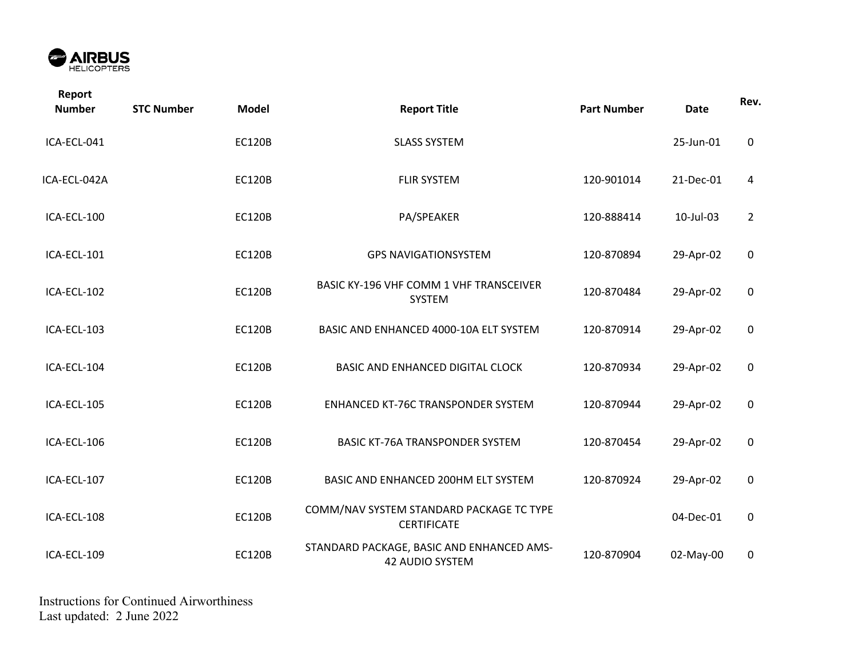

| Report<br><b>Number</b> | <b>STC Number</b> | <b>Model</b>  | <b>Report Title</b>                                            | <b>Part Number</b> | <b>Date</b> | Rev.           |
|-------------------------|-------------------|---------------|----------------------------------------------------------------|--------------------|-------------|----------------|
| ICA-ECL-041             |                   | <b>EC120B</b> | <b>SLASS SYSTEM</b>                                            |                    | 25-Jun-01   | $\mathbf 0$    |
| ICA-ECL-042A            |                   | <b>EC120B</b> | <b>FLIR SYSTEM</b>                                             | 120-901014         | 21-Dec-01   | 4              |
| ICA-ECL-100             |                   | <b>EC120B</b> | PA/SPEAKER                                                     | 120-888414         | 10-Jul-03   | $\overline{2}$ |
| ICA-ECL-101             |                   | <b>EC120B</b> | <b>GPS NAVIGATIONSYSTEM</b>                                    | 120-870894         | 29-Apr-02   | $\mathbf 0$    |
| ICA-ECL-102             |                   | <b>EC120B</b> | <b>BASIC KY-196 VHF COMM 1 VHF TRANSCEIVER</b><br>SYSTEM       | 120-870484         | 29-Apr-02   | $\mathbf 0$    |
| ICA-ECL-103             |                   | <b>EC120B</b> | BASIC AND ENHANCED 4000-10A ELT SYSTEM                         | 120-870914         | 29-Apr-02   | $\mathbf 0$    |
| ICA-ECL-104             |                   | <b>EC120B</b> | <b>BASIC AND ENHANCED DIGITAL CLOCK</b>                        | 120-870934         | 29-Apr-02   | 0              |
| ICA-ECL-105             |                   | <b>EC120B</b> | ENHANCED KT-76C TRANSPONDER SYSTEM                             | 120-870944         | 29-Apr-02   | 0              |
| ICA-ECL-106             |                   | <b>EC120B</b> | <b>BASIC KT-76A TRANSPONDER SYSTEM</b>                         | 120-870454         | 29-Apr-02   | 0              |
| ICA-ECL-107             |                   | <b>EC120B</b> | BASIC AND ENHANCED 200HM ELT SYSTEM                            | 120-870924         | 29-Apr-02   | $\mathbf 0$    |
| ICA-ECL-108             |                   | <b>EC120B</b> | COMM/NAV SYSTEM STANDARD PACKAGE TC TYPE<br><b>CERTIFICATE</b> |                    | 04-Dec-01   | 0              |
| ICA-ECL-109             |                   | <b>EC120B</b> | STANDARD PACKAGE, BASIC AND ENHANCED AMS-<br>42 AUDIO SYSTEM   | 120-870904         | 02-May-00   | $\mathbf 0$    |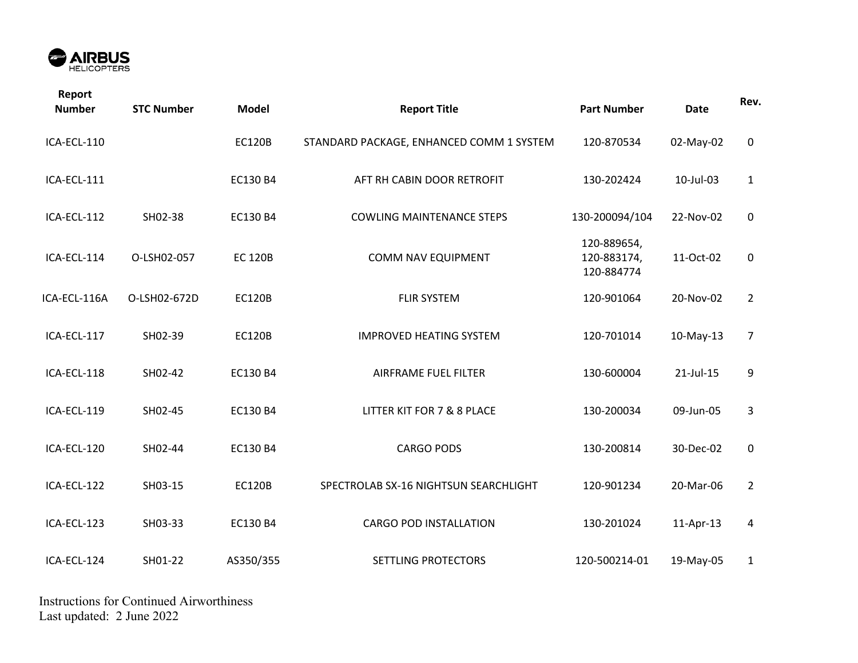

| Report<br><b>Number</b> | <b>STC Number</b> | <b>Model</b>   | <b>Report Title</b>                      | <b>Part Number</b>                       | <b>Date</b> | Rev.           |
|-------------------------|-------------------|----------------|------------------------------------------|------------------------------------------|-------------|----------------|
| ICA-ECL-110             |                   | <b>EC120B</b>  | STANDARD PACKAGE, ENHANCED COMM 1 SYSTEM | 120-870534                               | 02-May-02   | $\mathbf 0$    |
| ICA-ECL-111             |                   | EC130 B4       | AFT RH CABIN DOOR RETROFIT               | 130-202424                               | 10-Jul-03   | $\mathbf{1}$   |
| ICA-ECL-112             | SH02-38           | EC130 B4       | <b>COWLING MAINTENANCE STEPS</b>         | 130-200094/104                           | 22-Nov-02   | 0              |
| ICA-ECL-114             | O-LSH02-057       | <b>EC 120B</b> | COMM NAV EQUIPMENT                       | 120-889654,<br>120-883174,<br>120-884774 | 11-Oct-02   | 0              |
| ICA-ECL-116A            | O-LSH02-672D      | <b>EC120B</b>  | <b>FLIR SYSTEM</b>                       | 120-901064                               | 20-Nov-02   | $\overline{2}$ |
| ICA-ECL-117             | SH02-39           | <b>EC120B</b>  | <b>IMPROVED HEATING SYSTEM</b>           | 120-701014                               | 10-May-13   | $\overline{7}$ |
| ICA-ECL-118             | SH02-42           | EC130 B4       | AIRFRAME FUEL FILTER                     | 130-600004                               | 21-Jul-15   | 9              |
| ICA-ECL-119             | SH02-45           | EC130 B4       | LITTER KIT FOR 7 & 8 PLACE               | 130-200034                               | 09-Jun-05   | 3              |
| ICA-ECL-120             | SH02-44           | EC130 B4       | <b>CARGO PODS</b>                        | 130-200814                               | 30-Dec-02   | $\mathbf 0$    |
| ICA-ECL-122             | SH03-15           | <b>EC120B</b>  | SPECTROLAB SX-16 NIGHTSUN SEARCHLIGHT    | 120-901234                               | 20-Mar-06   | $\overline{2}$ |
| ICA-ECL-123             | SH03-33           | EC130 B4       | <b>CARGO POD INSTALLATION</b>            | 130-201024                               | 11-Apr-13   | 4              |
| ICA-ECL-124             | SH01-22           | AS350/355      | SETTLING PROTECTORS                      | 120-500214-01                            | 19-May-05   | $\mathbf{1}$   |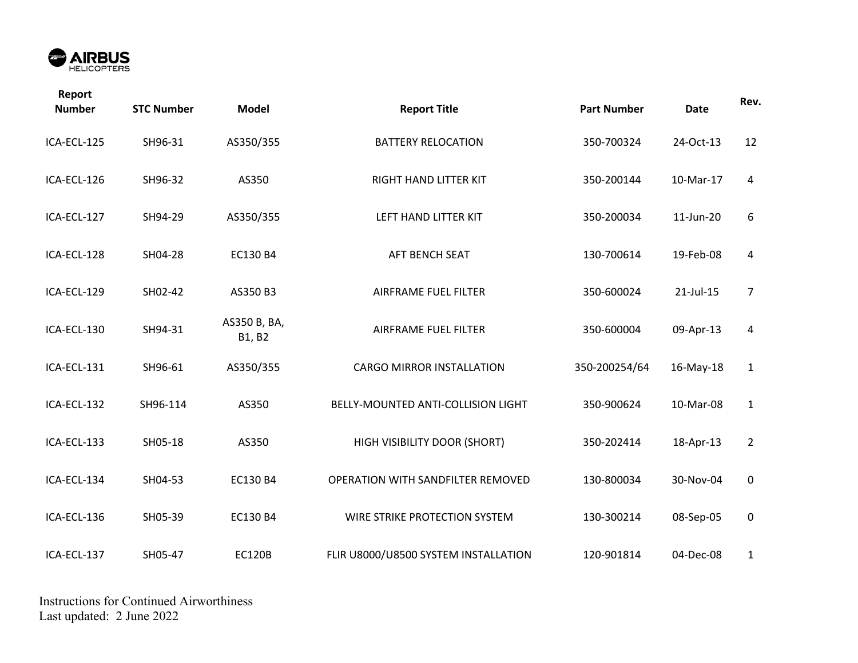

| Report<br><b>Number</b> | <b>STC Number</b> | <b>Model</b>           | <b>Report Title</b>                  | <b>Part Number</b> | <b>Date</b> | Rev.             |
|-------------------------|-------------------|------------------------|--------------------------------------|--------------------|-------------|------------------|
| ICA-ECL-125             | SH96-31           | AS350/355              | <b>BATTERY RELOCATION</b>            | 350-700324         | 24-Oct-13   | 12               |
| ICA-ECL-126             | SH96-32           | AS350                  | RIGHT HAND LITTER KIT                | 350-200144         | 10-Mar-17   | $\overline{a}$   |
| ICA-ECL-127             | SH94-29           | AS350/355              | LEFT HAND LITTER KIT                 | 350-200034         | 11-Jun-20   | 6                |
| ICA-ECL-128             | SH04-28           | EC130 B4               | AFT BENCH SEAT                       | 130-700614         | 19-Feb-08   | $\overline{a}$   |
| ICA-ECL-129             | SH02-42           | AS350 B3               | AIRFRAME FUEL FILTER                 | 350-600024         | 21-Jul-15   | $\overline{7}$   |
| ICA-ECL-130             | SH94-31           | AS350 B, BA,<br>B1, B2 | AIRFRAME FUEL FILTER                 | 350-600004         | 09-Apr-13   | 4                |
| ICA-ECL-131             | SH96-61           | AS350/355              | <b>CARGO MIRROR INSTALLATION</b>     | 350-200254/64      | 16-May-18   | $\mathbf{1}$     |
| ICA-ECL-132             | SH96-114          | AS350                  | BELLY-MOUNTED ANTI-COLLISION LIGHT   | 350-900624         | 10-Mar-08   | $\mathbf{1}$     |
| ICA-ECL-133             | SH05-18           | AS350                  | HIGH VISIBILITY DOOR (SHORT)         | 350-202414         | 18-Apr-13   | $\overline{2}$   |
| ICA-ECL-134             | SH04-53           | EC130 B4               | OPERATION WITH SANDFILTER REMOVED    | 130-800034         | 30-Nov-04   | $\boldsymbol{0}$ |
| ICA-ECL-136             | SH05-39           | EC130 B4               | WIRE STRIKE PROTECTION SYSTEM        | 130-300214         | 08-Sep-05   | $\pmb{0}$        |
| ICA-ECL-137             | SH05-47           | <b>EC120B</b>          | FLIR U8000/U8500 SYSTEM INSTALLATION | 120-901814         | 04-Dec-08   | $\mathbf{1}$     |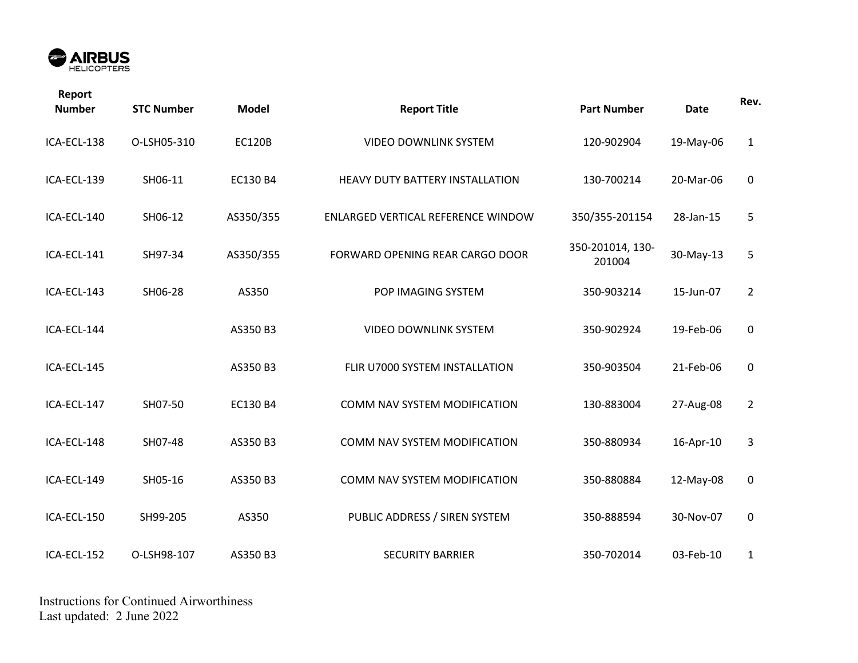

| Report<br><b>Number</b> | <b>STC Number</b> | <b>Model</b>  | <b>Report Title</b>                | <b>Part Number</b>         | <b>Date</b> | Rev.           |
|-------------------------|-------------------|---------------|------------------------------------|----------------------------|-------------|----------------|
| ICA-ECL-138             | O-LSH05-310       | <b>EC120B</b> | <b>VIDEO DOWNLINK SYSTEM</b>       | 120-902904                 | 19-May-06   | $\mathbf{1}$   |
| ICA-ECL-139             | SH06-11           | EC130 B4      | HEAVY DUTY BATTERY INSTALLATION    | 130-700214                 | 20-Mar-06   | $\mathbf 0$    |
| ICA-ECL-140             | SH06-12           | AS350/355     | ENLARGED VERTICAL REFERENCE WINDOW | 350/355-201154             | 28-Jan-15   | 5              |
| ICA-ECL-141             | SH97-34           | AS350/355     | FORWARD OPENING REAR CARGO DOOR    | 350-201014, 130-<br>201004 | 30-May-13   | 5              |
| ICA-ECL-143             | SH06-28           | AS350         | POP IMAGING SYSTEM                 | 350-903214                 | 15-Jun-07   | $\overline{2}$ |
| ICA-ECL-144             |                   | AS350 B3      | <b>VIDEO DOWNLINK SYSTEM</b>       | 350-902924                 | 19-Feb-06   | $\mathbf 0$    |
| ICA-ECL-145             |                   | AS350 B3      | FLIR U7000 SYSTEM INSTALLATION     | 350-903504                 | 21-Feb-06   | $\pmb{0}$      |
| ICA-ECL-147             | SH07-50           | EC130 B4      | COMM NAV SYSTEM MODIFICATION       | 130-883004                 | 27-Aug-08   | $\overline{2}$ |
| ICA-ECL-148             | SH07-48           | AS350 B3      | COMM NAV SYSTEM MODIFICATION       | 350-880934                 | 16-Apr-10   | 3              |
| ICA-ECL-149             | SH05-16           | AS350 B3      | COMM NAV SYSTEM MODIFICATION       | 350-880884                 | 12-May-08   | $\mathbf 0$    |
| ICA-ECL-150             | SH99-205          | AS350         | PUBLIC ADDRESS / SIREN SYSTEM      | 350-888594                 | 30-Nov-07   | $\pmb{0}$      |
| ICA-ECL-152             | O-LSH98-107       | AS350 B3      | <b>SECURITY BARRIER</b>            | 350-702014                 | 03-Feb-10   | 1              |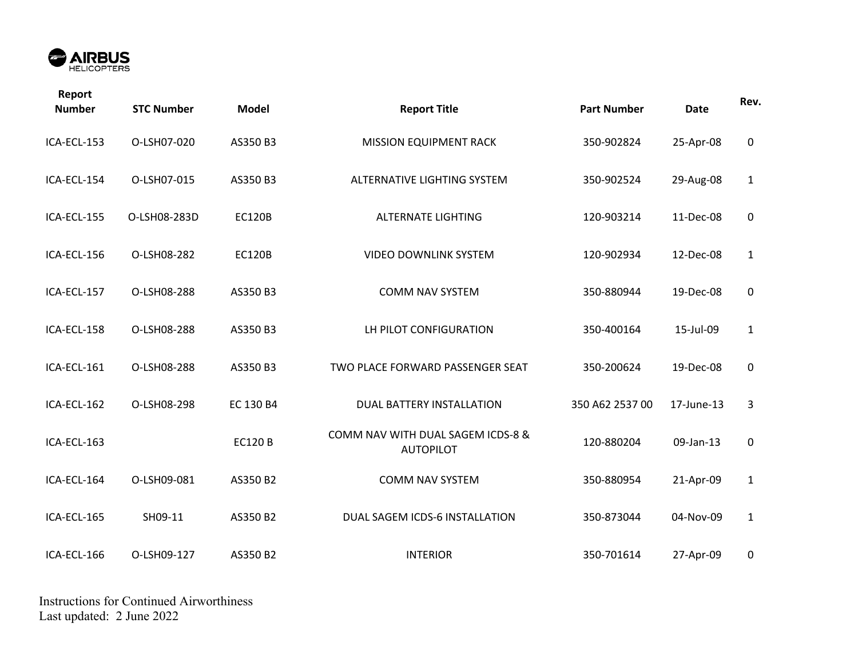

| Report<br><b>Number</b> | <b>STC Number</b> | <b>Model</b>  | <b>Report Title</b>                                   | <b>Part Number</b> | <b>Date</b> | Rev.         |
|-------------------------|-------------------|---------------|-------------------------------------------------------|--------------------|-------------|--------------|
| ICA-ECL-153             | O-LSH07-020       | AS350 B3      | <b>MISSION EQUIPMENT RACK</b>                         | 350-902824         | 25-Apr-08   | $\pmb{0}$    |
| ICA-ECL-154             | O-LSH07-015       | AS350 B3      | ALTERNATIVE LIGHTING SYSTEM                           | 350-902524         | 29-Aug-08   | $\mathbf{1}$ |
| ICA-ECL-155             | O-LSH08-283D      | <b>EC120B</b> | <b>ALTERNATE LIGHTING</b>                             | 120-903214         | 11-Dec-08   | 0            |
| ICA-ECL-156             | O-LSH08-282       | <b>EC120B</b> | <b>VIDEO DOWNLINK SYSTEM</b>                          | 120-902934         | 12-Dec-08   | $\mathbf{1}$ |
| ICA-ECL-157             | O-LSH08-288       | AS350 B3      | <b>COMM NAV SYSTEM</b>                                | 350-880944         | 19-Dec-08   | $\pmb{0}$    |
| ICA-ECL-158             | O-LSH08-288       | AS350 B3      | LH PILOT CONFIGURATION                                | 350-400164         | 15-Jul-09   | $\mathbf{1}$ |
| ICA-ECL-161             | O-LSH08-288       | AS350 B3      | TWO PLACE FORWARD PASSENGER SEAT                      | 350-200624         | 19-Dec-08   | $\mathbf 0$  |
| ICA-ECL-162             | O-LSH08-298       | EC 130 B4     | DUAL BATTERY INSTALLATION                             | 350 A62 2537 00    | 17-June-13  | 3            |
| ICA-ECL-163             |                   | <b>EC120B</b> | COMM NAV WITH DUAL SAGEM ICDS-8 &<br><b>AUTOPILOT</b> | 120-880204         | 09-Jan-13   | $\pmb{0}$    |
| ICA-ECL-164             | O-LSH09-081       | AS350 B2      | <b>COMM NAV SYSTEM</b>                                | 350-880954         | 21-Apr-09   | $\mathbf{1}$ |
| ICA-ECL-165             | SH09-11           | AS350 B2      | DUAL SAGEM ICDS-6 INSTALLATION                        | 350-873044         | 04-Nov-09   | $\mathbf{1}$ |
| ICA-ECL-166             | O-LSH09-127       | AS350 B2      | <b>INTERIOR</b>                                       | 350-701614         | 27-Apr-09   | 0            |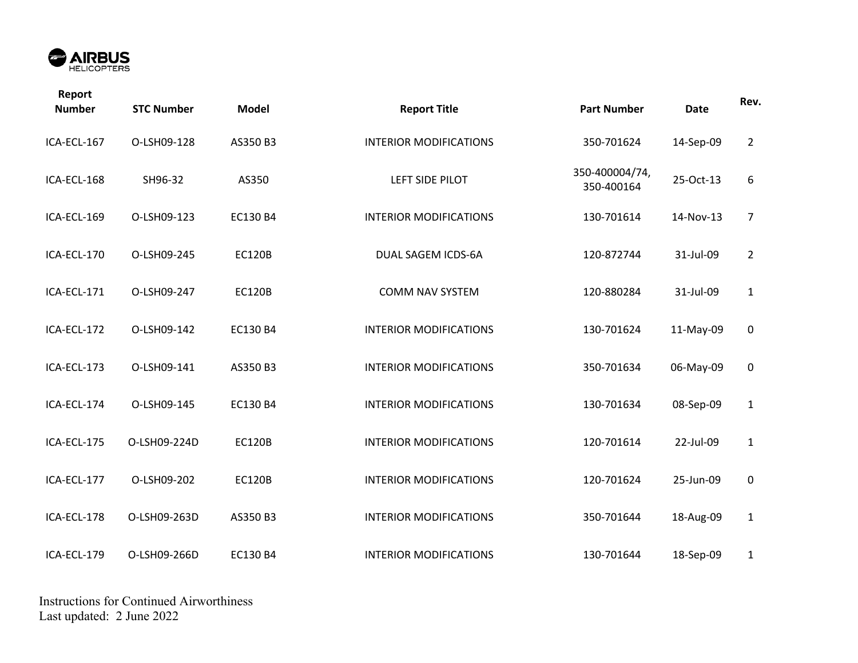

| Report<br><b>Number</b> | <b>STC Number</b> | <b>Model</b>  | <b>Report Title</b>           | <b>Part Number</b>           | <b>Date</b> | Rev.           |
|-------------------------|-------------------|---------------|-------------------------------|------------------------------|-------------|----------------|
| ICA-ECL-167             | O-LSH09-128       | AS350 B3      | <b>INTERIOR MODIFICATIONS</b> | 350-701624                   | 14-Sep-09   | $\overline{2}$ |
| ICA-ECL-168             | SH96-32           | AS350         | LEFT SIDE PILOT               | 350-400004/74,<br>350-400164 | 25-Oct-13   | 6              |
| ICA-ECL-169             | O-LSH09-123       | EC130 B4      | <b>INTERIOR MODIFICATIONS</b> | 130-701614                   | 14-Nov-13   | $\overline{7}$ |
| ICA-ECL-170             | O-LSH09-245       | <b>EC120B</b> | DUAL SAGEM ICDS-6A            | 120-872744                   | 31-Jul-09   | $\overline{2}$ |
| ICA-ECL-171             | O-LSH09-247       | <b>EC120B</b> | <b>COMM NAV SYSTEM</b>        | 120-880284                   | 31-Jul-09   | $\mathbf{1}$   |
| ICA-ECL-172             | O-LSH09-142       | EC130 B4      | <b>INTERIOR MODIFICATIONS</b> | 130-701624                   | 11-May-09   | $\pmb{0}$      |
| ICA-ECL-173             | O-LSH09-141       | AS350 B3      | <b>INTERIOR MODIFICATIONS</b> | 350-701634                   | 06-May-09   | $\pmb{0}$      |
| ICA-ECL-174             | O-LSH09-145       | EC130 B4      | <b>INTERIOR MODIFICATIONS</b> | 130-701634                   | 08-Sep-09   | $\mathbf{1}$   |
| ICA-ECL-175             | O-LSH09-224D      | <b>EC120B</b> | <b>INTERIOR MODIFICATIONS</b> | 120-701614                   | 22-Jul-09   | $\mathbf{1}$   |
| ICA-ECL-177             | O-LSH09-202       | <b>EC120B</b> | <b>INTERIOR MODIFICATIONS</b> | 120-701624                   | 25-Jun-09   | $\mathbf 0$    |
| ICA-ECL-178             | O-LSH09-263D      | AS350 B3      | <b>INTERIOR MODIFICATIONS</b> | 350-701644                   | 18-Aug-09   | $\mathbf{1}$   |
| ICA-ECL-179             | O-LSH09-266D      | EC130 B4      | <b>INTERIOR MODIFICATIONS</b> | 130-701644                   | 18-Sep-09   | $\mathbf{1}$   |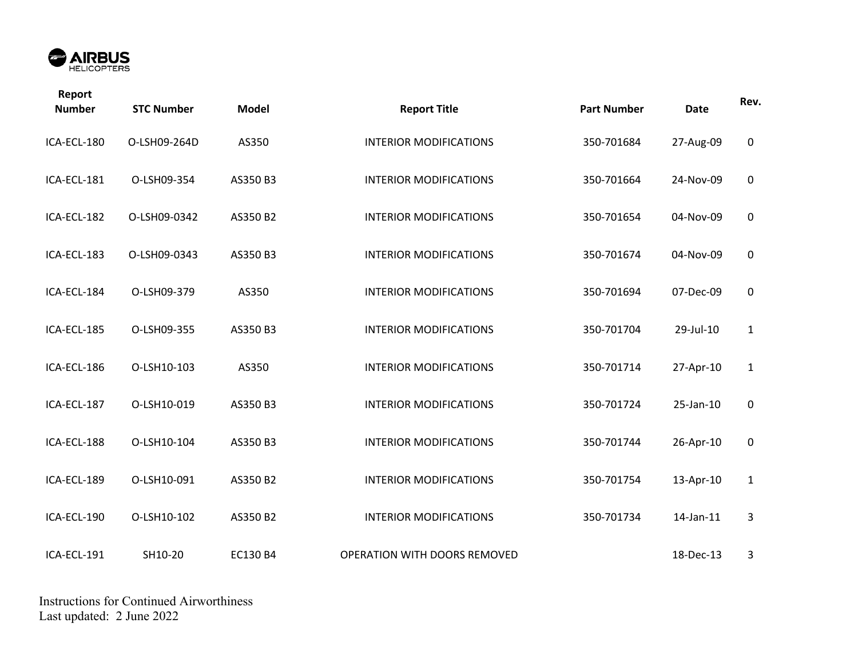

| Report<br><b>Number</b> | <b>STC Number</b> | <b>Model</b> | <b>Report Title</b>           | <b>Part Number</b> | <b>Date</b> | Rev.         |
|-------------------------|-------------------|--------------|-------------------------------|--------------------|-------------|--------------|
| ICA-ECL-180             | O-LSH09-264D      | AS350        | <b>INTERIOR MODIFICATIONS</b> | 350-701684         | 27-Aug-09   | 0            |
| ICA-ECL-181             | O-LSH09-354       | AS350 B3     | <b>INTERIOR MODIFICATIONS</b> | 350-701664         | 24-Nov-09   | $\mathbf 0$  |
| ICA-ECL-182             | O-LSH09-0342      | AS350 B2     | <b>INTERIOR MODIFICATIONS</b> | 350-701654         | 04-Nov-09   | $\mathbf 0$  |
| ICA-ECL-183             | O-LSH09-0343      | AS350 B3     | <b>INTERIOR MODIFICATIONS</b> | 350-701674         | 04-Nov-09   | $\pmb{0}$    |
| ICA-ECL-184             | O-LSH09-379       | AS350        | <b>INTERIOR MODIFICATIONS</b> | 350-701694         | 07-Dec-09   | $\mathbf 0$  |
| ICA-ECL-185             | O-LSH09-355       | AS350 B3     | <b>INTERIOR MODIFICATIONS</b> | 350-701704         | 29-Jul-10   | $\mathbf{1}$ |
| ICA-ECL-186             | O-LSH10-103       | AS350        | <b>INTERIOR MODIFICATIONS</b> | 350-701714         | 27-Apr-10   | $\mathbf{1}$ |
| ICA-ECL-187             | O-LSH10-019       | AS350 B3     | <b>INTERIOR MODIFICATIONS</b> | 350-701724         | 25-Jan-10   | $\mathbf 0$  |
| ICA-ECL-188             | O-LSH10-104       | AS350 B3     | <b>INTERIOR MODIFICATIONS</b> | 350-701744         | 26-Apr-10   | $\mathbf 0$  |
| ICA-ECL-189             | O-LSH10-091       | AS350 B2     | <b>INTERIOR MODIFICATIONS</b> | 350-701754         | 13-Apr-10   | $\mathbf{1}$ |
| ICA-ECL-190             | O-LSH10-102       | AS350 B2     | <b>INTERIOR MODIFICATIONS</b> | 350-701734         | 14-Jan-11   | 3            |
| ICA-ECL-191             | SH10-20           | EC130 B4     | OPERATION WITH DOORS REMOVED  |                    | 18-Dec-13   | 3            |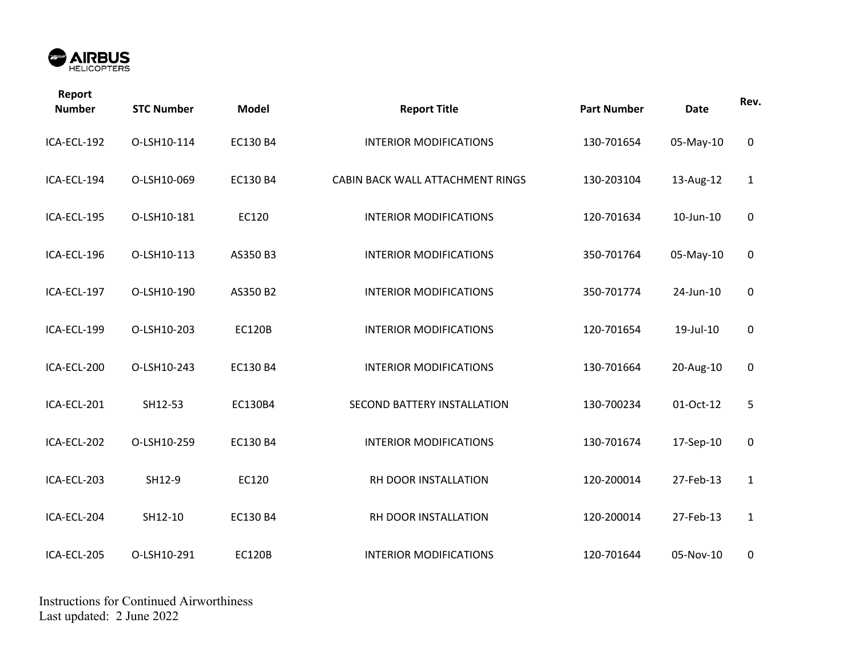

| Report<br><b>Number</b> | <b>STC Number</b> | <b>Model</b>  | <b>Report Title</b>              | <b>Part Number</b> | <b>Date</b> | Rev.         |
|-------------------------|-------------------|---------------|----------------------------------|--------------------|-------------|--------------|
| ICA-ECL-192             | O-LSH10-114       | EC130 B4      | <b>INTERIOR MODIFICATIONS</b>    | 130-701654         | 05-May-10   | $\pmb{0}$    |
| ICA-ECL-194             | O-LSH10-069       | EC130 B4      | CABIN BACK WALL ATTACHMENT RINGS | 130-203104         | 13-Aug-12   | $\mathbf{1}$ |
| ICA-ECL-195             | O-LSH10-181       | EC120         | <b>INTERIOR MODIFICATIONS</b>    | 120-701634         | 10-Jun-10   | 0            |
| ICA-ECL-196             | O-LSH10-113       | AS350 B3      | <b>INTERIOR MODIFICATIONS</b>    | 350-701764         | 05-May-10   | $\pmb{0}$    |
| ICA-ECL-197             | O-LSH10-190       | AS350 B2      | <b>INTERIOR MODIFICATIONS</b>    | 350-701774         | 24-Jun-10   | $\mathbf 0$  |
| ICA-ECL-199             | O-LSH10-203       | <b>EC120B</b> | <b>INTERIOR MODIFICATIONS</b>    | 120-701654         | 19-Jul-10   | $\pmb{0}$    |
| ICA-ECL-200             | O-LSH10-243       | EC130 B4      | <b>INTERIOR MODIFICATIONS</b>    | 130-701664         | 20-Aug-10   | $\pmb{0}$    |
| ICA-ECL-201             | SH12-53           | EC130B4       | SECOND BATTERY INSTALLATION      | 130-700234         | 01-Oct-12   | 5            |
| ICA-ECL-202             | O-LSH10-259       | EC130 B4      | <b>INTERIOR MODIFICATIONS</b>    | 130-701674         | 17-Sep-10   | $\pmb{0}$    |
| ICA-ECL-203             | SH12-9            | EC120         | RH DOOR INSTALLATION             | 120-200014         | 27-Feb-13   | $\mathbf{1}$ |
| ICA-ECL-204             | SH12-10           | EC130 B4      | RH DOOR INSTALLATION             | 120-200014         | 27-Feb-13   | $\mathbf{1}$ |
| ICA-ECL-205             | O-LSH10-291       | <b>EC120B</b> | <b>INTERIOR MODIFICATIONS</b>    | 120-701644         | 05-Nov-10   | 0            |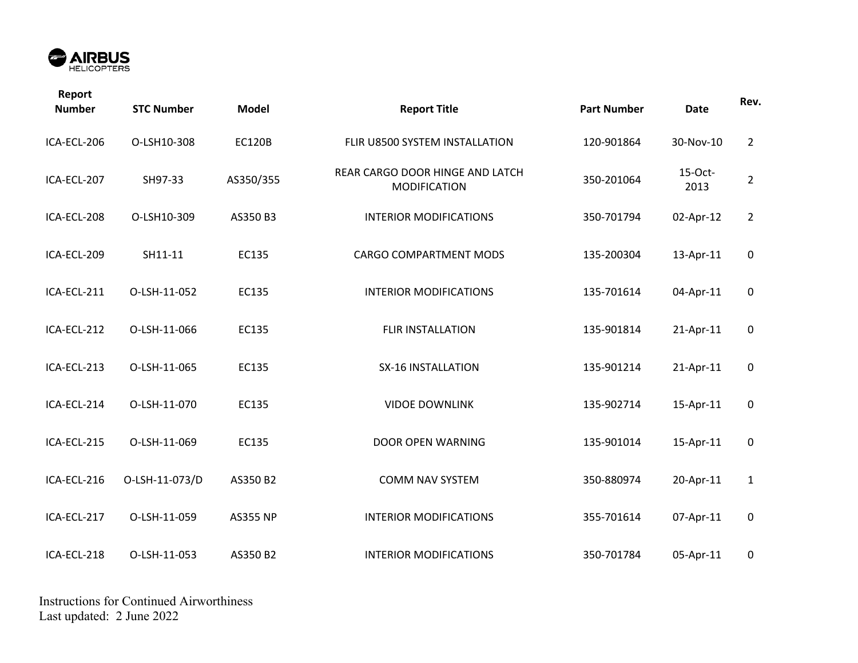

| Report<br><b>Number</b> | <b>STC Number</b> | <b>Model</b>    | <b>Report Title</b>                                    | <b>Part Number</b> | <b>Date</b>     | Rev.           |
|-------------------------|-------------------|-----------------|--------------------------------------------------------|--------------------|-----------------|----------------|
| ICA-ECL-206             | O-LSH10-308       | <b>EC120B</b>   | FLIR U8500 SYSTEM INSTALLATION                         | 120-901864         | 30-Nov-10       | $\overline{2}$ |
| ICA-ECL-207             | SH97-33           | AS350/355       | REAR CARGO DOOR HINGE AND LATCH<br><b>MODIFICATION</b> | 350-201064         | 15-Oct-<br>2013 | $\overline{2}$ |
| ICA-ECL-208             | O-LSH10-309       | AS350 B3        | <b>INTERIOR MODIFICATIONS</b>                          | 350-701794         | 02-Apr-12       | $\overline{2}$ |
| ICA-ECL-209             | SH11-11           | EC135           | <b>CARGO COMPARTMENT MODS</b>                          | 135-200304         | 13-Apr-11       | $\mathbf 0$    |
| ICA-ECL-211             | O-LSH-11-052      | EC135           | <b>INTERIOR MODIFICATIONS</b>                          | 135-701614         | 04-Apr-11       | $\mathbf 0$    |
| ICA-ECL-212             | O-LSH-11-066      | EC135           | <b>FLIR INSTALLATION</b>                               | 135-901814         | 21-Apr-11       | $\mathbf 0$    |
| ICA-ECL-213             | O-LSH-11-065      | EC135           | <b>SX-16 INSTALLATION</b>                              | 135-901214         | 21-Apr-11       | $\pmb{0}$      |
| ICA-ECL-214             | O-LSH-11-070      | EC135           | <b>VIDOE DOWNLINK</b>                                  | 135-902714         | 15-Apr-11       | $\mathsf 0$    |
| ICA-ECL-215             | O-LSH-11-069      | EC135           | DOOR OPEN WARNING                                      | 135-901014         | 15-Apr-11       | $\mathbf 0$    |
| ICA-ECL-216             | O-LSH-11-073/D    | AS350 B2        | <b>COMM NAV SYSTEM</b>                                 | 350-880974         | 20-Apr-11       | $\mathbf{1}$   |
| ICA-ECL-217             | O-LSH-11-059      | <b>AS355 NP</b> | <b>INTERIOR MODIFICATIONS</b>                          | 355-701614         | 07-Apr-11       | $\mathbf 0$    |
| ICA-ECL-218             | O-LSH-11-053      | AS350 B2        | <b>INTERIOR MODIFICATIONS</b>                          | 350-701784         | 05-Apr-11       | $\pmb{0}$      |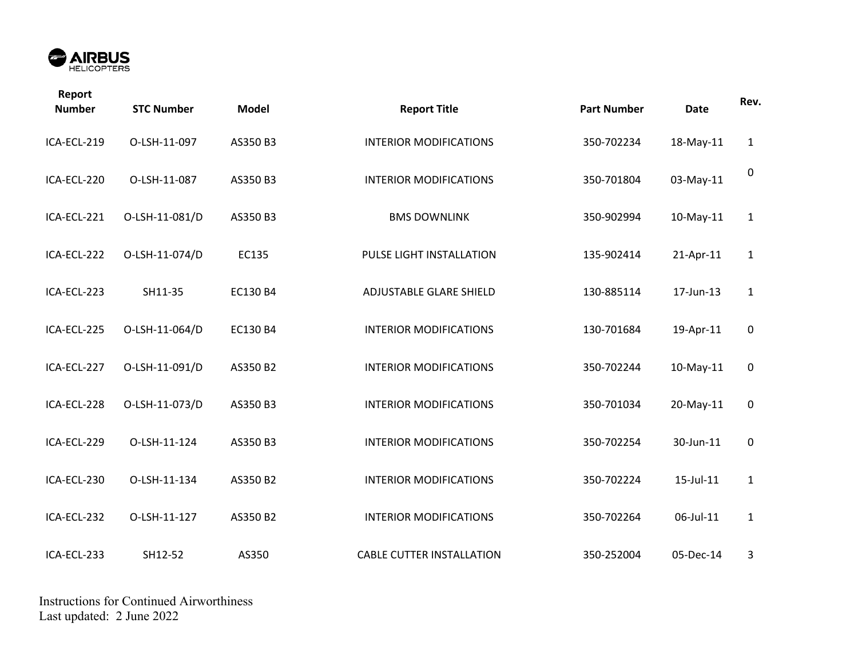

| Report<br><b>Number</b> | <b>STC Number</b> | <b>Model</b> | <b>Report Title</b>              | <b>Part Number</b> | <b>Date</b> | Rev.             |
|-------------------------|-------------------|--------------|----------------------------------|--------------------|-------------|------------------|
| ICA-ECL-219             | O-LSH-11-097      | AS350 B3     | <b>INTERIOR MODIFICATIONS</b>    | 350-702234         | 18-May-11   | $\mathbf{1}$     |
| ICA-ECL-220             | O-LSH-11-087      | AS350 B3     | <b>INTERIOR MODIFICATIONS</b>    | 350-701804         | 03-May-11   | 0                |
| ICA-ECL-221             | O-LSH-11-081/D    | AS350 B3     | <b>BMS DOWNLINK</b>              | 350-902994         | 10-May-11   | $\mathbf{1}$     |
| ICA-ECL-222             | O-LSH-11-074/D    | EC135        | PULSE LIGHT INSTALLATION         | 135-902414         | 21-Apr-11   | $\mathbf{1}$     |
| ICA-ECL-223             | SH11-35           | EC130 B4     | ADJUSTABLE GLARE SHIELD          | 130-885114         | 17-Jun-13   | $\mathbf{1}$     |
| ICA-ECL-225             | O-LSH-11-064/D    | EC130 B4     | <b>INTERIOR MODIFICATIONS</b>    | 130-701684         | 19-Apr-11   | $\pmb{0}$        |
| ICA-ECL-227             | O-LSH-11-091/D    | AS350 B2     | <b>INTERIOR MODIFICATIONS</b>    | 350-702244         | 10-May-11   | $\pmb{0}$        |
| ICA-ECL-228             | O-LSH-11-073/D    | AS350 B3     | <b>INTERIOR MODIFICATIONS</b>    | 350-701034         | 20-May-11   | $\mathbf 0$      |
| ICA-ECL-229             | O-LSH-11-124      | AS350 B3     | <b>INTERIOR MODIFICATIONS</b>    | 350-702254         | 30-Jun-11   | $\boldsymbol{0}$ |
| ICA-ECL-230             | O-LSH-11-134      | AS350 B2     | <b>INTERIOR MODIFICATIONS</b>    | 350-702224         | 15-Jul-11   | $\mathbf{1}$     |
| ICA-ECL-232             | O-LSH-11-127      | AS350 B2     | <b>INTERIOR MODIFICATIONS</b>    | 350-702264         | 06-Jul-11   | $\mathbf{1}$     |
| ICA-ECL-233             | SH12-52           | AS350        | <b>CABLE CUTTER INSTALLATION</b> | 350-252004         | 05-Dec-14   | 3                |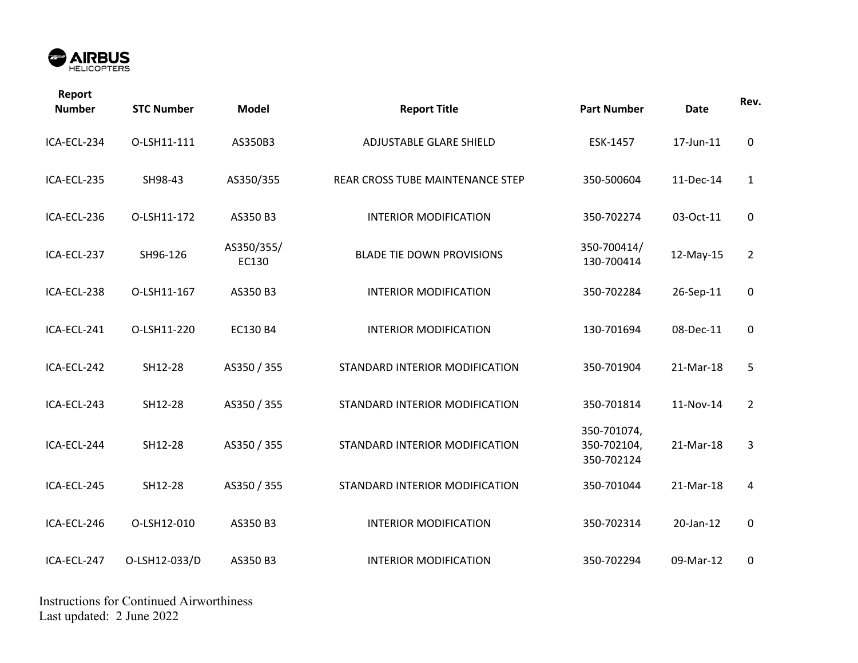

| Report<br><b>Number</b> | <b>STC Number</b> | <b>Model</b>        | <b>Report Title</b>              | <b>Part Number</b>                       | <b>Date</b> | Rev.           |
|-------------------------|-------------------|---------------------|----------------------------------|------------------------------------------|-------------|----------------|
| ICA-ECL-234             | O-LSH11-111       | AS350B3             | ADJUSTABLE GLARE SHIELD          | ESK-1457                                 | 17-Jun-11   | $\mathbf 0$    |
| ICA-ECL-235             | SH98-43           | AS350/355           | REAR CROSS TUBE MAINTENANCE STEP | 350-500604                               | 11-Dec-14   | $\mathbf{1}$   |
| ICA-ECL-236             | O-LSH11-172       | AS350 B3            | <b>INTERIOR MODIFICATION</b>     | 350-702274                               | 03-Oct-11   | $\mathbf 0$    |
| ICA-ECL-237             | SH96-126          | AS350/355/<br>EC130 | <b>BLADE TIE DOWN PROVISIONS</b> | 350-700414/<br>130-700414                | 12-May-15   | $\overline{2}$ |
| ICA-ECL-238             | O-LSH11-167       | AS350 B3            | <b>INTERIOR MODIFICATION</b>     | 350-702284                               | 26-Sep-11   | 0              |
| ICA-ECL-241             | O-LSH11-220       | EC130 B4            | <b>INTERIOR MODIFICATION</b>     | 130-701694                               | 08-Dec-11   | 0              |
| ICA-ECL-242             | SH12-28           | AS350 / 355         | STANDARD INTERIOR MODIFICATION   | 350-701904                               | 21-Mar-18   | 5              |
| ICA-ECL-243             | SH12-28           | AS350 / 355         | STANDARD INTERIOR MODIFICATION   | 350-701814                               | 11-Nov-14   | $\overline{2}$ |
| ICA-ECL-244             | SH12-28           | AS350 / 355         | STANDARD INTERIOR MODIFICATION   | 350-701074,<br>350-702104,<br>350-702124 | 21-Mar-18   | 3              |
| ICA-ECL-245             | SH12-28           | AS350 / 355         | STANDARD INTERIOR MODIFICATION   | 350-701044                               | 21-Mar-18   | 4              |
| ICA-ECL-246             | O-LSH12-010       | AS350 B3            | <b>INTERIOR MODIFICATION</b>     | 350-702314                               | 20-Jan-12   | 0              |
| ICA-ECL-247             | O-LSH12-033/D     | AS350 B3            | <b>INTERIOR MODIFICATION</b>     | 350-702294                               | 09-Mar-12   | 0              |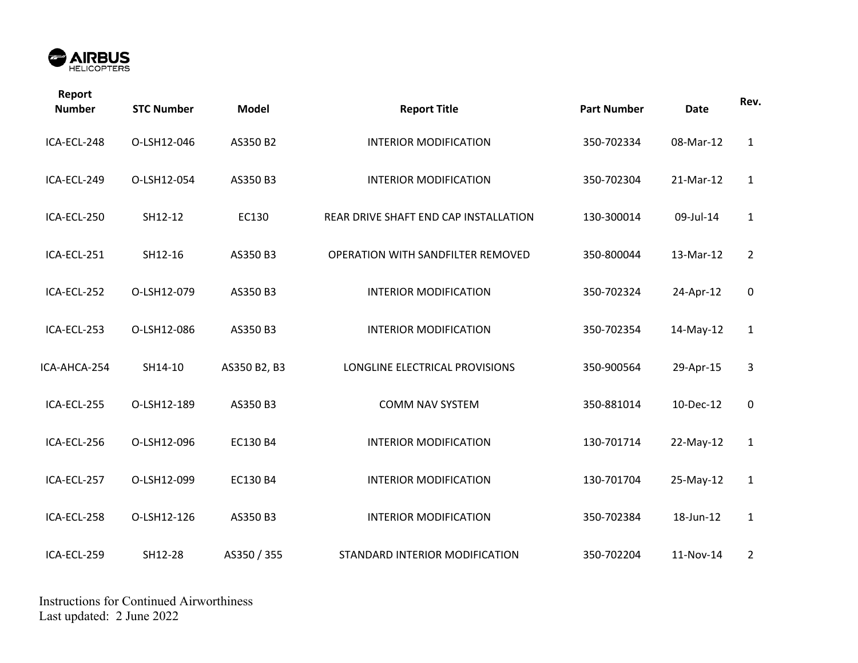

| Report<br><b>Number</b> | <b>STC Number</b> | <b>Model</b> | <b>Report Title</b>                   | <b>Part Number</b> | <b>Date</b> | Rev.           |
|-------------------------|-------------------|--------------|---------------------------------------|--------------------|-------------|----------------|
| ICA-ECL-248             | O-LSH12-046       | AS350 B2     | <b>INTERIOR MODIFICATION</b>          | 350-702334         | 08-Mar-12   | $\mathbf{1}$   |
| ICA-ECL-249             | O-LSH12-054       | AS350 B3     | <b>INTERIOR MODIFICATION</b>          | 350-702304         | 21-Mar-12   | $\mathbf{1}$   |
| ICA-ECL-250             | SH12-12           | EC130        | REAR DRIVE SHAFT END CAP INSTALLATION | 130-300014         | 09-Jul-14   | $\mathbf{1}$   |
| ICA-ECL-251             | SH12-16           | AS350 B3     | OPERATION WITH SANDFILTER REMOVED     | 350-800044         | 13-Mar-12   | $\overline{2}$ |
| ICA-ECL-252             | O-LSH12-079       | AS350 B3     | <b>INTERIOR MODIFICATION</b>          | 350-702324         | 24-Apr-12   | $\pmb{0}$      |
| ICA-ECL-253             | O-LSH12-086       | AS350 B3     | <b>INTERIOR MODIFICATION</b>          | 350-702354         | 14-May-12   | $\mathbf{1}$   |
| ICA-AHCA-254            | SH14-10           | AS350 B2, B3 | LONGLINE ELECTRICAL PROVISIONS        | 350-900564         | 29-Apr-15   | 3              |
| ICA-ECL-255             | O-LSH12-189       | AS350 B3     | <b>COMM NAV SYSTEM</b>                | 350-881014         | 10-Dec-12   | 0              |
| ICA-ECL-256             | O-LSH12-096       | EC130 B4     | <b>INTERIOR MODIFICATION</b>          | 130-701714         | 22-May-12   | $\mathbf{1}$   |
| ICA-ECL-257             | O-LSH12-099       | EC130 B4     | <b>INTERIOR MODIFICATION</b>          | 130-701704         | 25-May-12   | $\mathbf{1}$   |
| ICA-ECL-258             | O-LSH12-126       | AS350 B3     | <b>INTERIOR MODIFICATION</b>          | 350-702384         | 18-Jun-12   | $\mathbf{1}$   |
| ICA-ECL-259             | SH12-28           | AS350 / 355  | STANDARD INTERIOR MODIFICATION        | 350-702204         | 11-Nov-14   | $\overline{2}$ |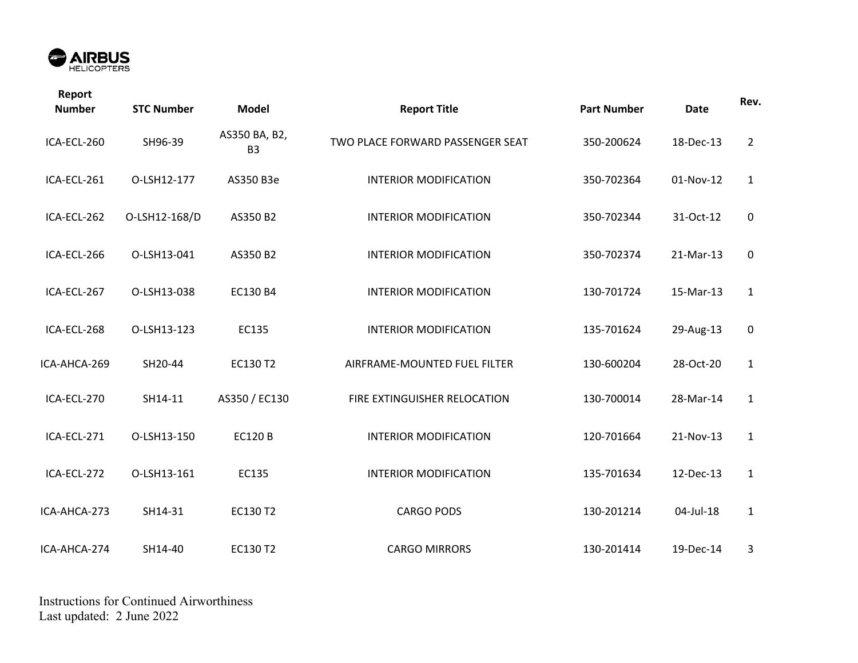

| Report<br><b>Number</b> | <b>STC Number</b> | <b>Model</b>                    | <b>Report Title</b>              | <b>Part Number</b> | <b>Date</b> | Rev.           |
|-------------------------|-------------------|---------------------------------|----------------------------------|--------------------|-------------|----------------|
| ICA-ECL-260             | SH96-39           | AS350 BA, B2,<br>B <sub>3</sub> | TWO PLACE FORWARD PASSENGER SEAT | 350-200624         | 18-Dec-13   | $\overline{2}$ |
| ICA-ECL-261             | O-LSH12-177       | AS350 B3e                       | <b>INTERIOR MODIFICATION</b>     | 350-702364         | 01-Nov-12   | $\mathbf{1}$   |
| ICA-ECL-262             | O-LSH12-168/D     | AS350 B2                        | <b>INTERIOR MODIFICATION</b>     | 350-702344         | 31-Oct-12   | $\mathbf 0$    |
| ICA-ECL-266             | O-LSH13-041       | AS350 B2                        | <b>INTERIOR MODIFICATION</b>     | 350-702374         | 21-Mar-13   | $\mathbf 0$    |
| ICA-ECL-267             | O-LSH13-038       | EC130 B4                        | <b>INTERIOR MODIFICATION</b>     | 130-701724         | 15-Mar-13   | $\mathbf{1}$   |
| ICA-ECL-268             | O-LSH13-123       | EC135                           | <b>INTERIOR MODIFICATION</b>     | 135-701624         | 29-Aug-13   | $\mathbf 0$    |
| ICA-AHCA-269            | SH20-44           | EC130 T2                        | AIRFRAME-MOUNTED FUEL FILTER     | 130-600204         | 28-Oct-20   | $\mathbf{1}$   |
| ICA-ECL-270             | SH14-11           | AS350 / EC130                   | FIRE EXTINGUISHER RELOCATION     | 130-700014         | 28-Mar-14   | $\mathbf{1}$   |
| ICA-ECL-271             | O-LSH13-150       | <b>EC120 B</b>                  | <b>INTERIOR MODIFICATION</b>     | 120-701664         | 21-Nov-13   | $\mathbf{1}$   |
| ICA-ECL-272             | O-LSH13-161       | EC135                           | <b>INTERIOR MODIFICATION</b>     | 135-701634         | 12-Dec-13   | $\mathbf{1}$   |
| ICA-AHCA-273            | SH14-31           | EC130 T2                        | <b>CARGO PODS</b>                | 130-201214         | 04-Jul-18   | $\mathbf{1}$   |
| ICA-AHCA-274            | SH14-40           | EC130 T2                        | <b>CARGO MIRRORS</b>             | 130-201414         | 19-Dec-14   | 3              |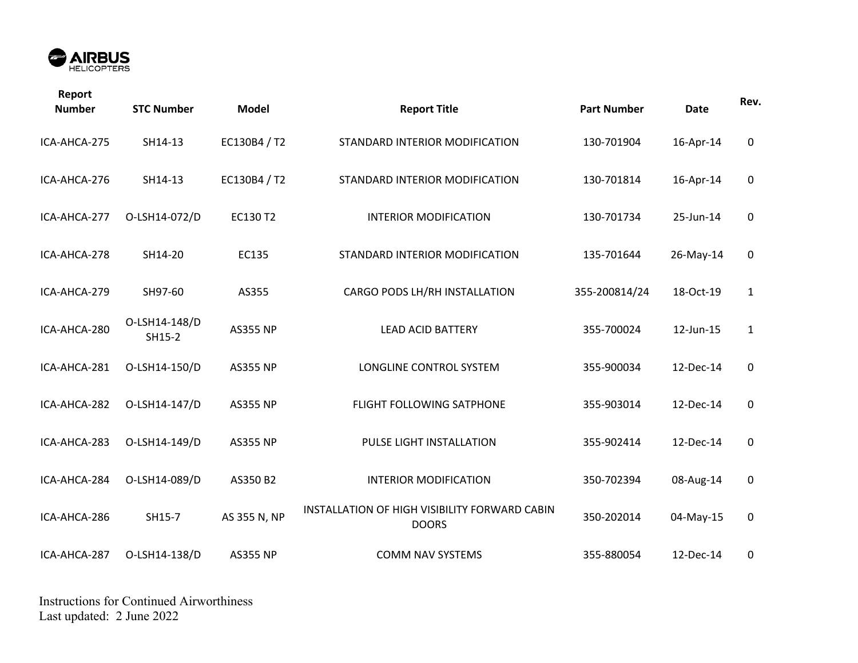

| Report<br><b>Number</b> | <b>STC Number</b>       | <b>Model</b>    | <b>Report Title</b>                                           | <b>Part Number</b> | <b>Date</b> | Rev.         |
|-------------------------|-------------------------|-----------------|---------------------------------------------------------------|--------------------|-------------|--------------|
| ICA-AHCA-275            | SH14-13                 | EC130B4 / T2    | STANDARD INTERIOR MODIFICATION                                | 130-701904         | 16-Apr-14   | $\mathbf 0$  |
| ICA-AHCA-276            | SH14-13                 | EC130B4 / T2    | STANDARD INTERIOR MODIFICATION                                | 130-701814         | 16-Apr-14   | 0            |
| ICA-AHCA-277            | O-LSH14-072/D           | EC130 T2        | <b>INTERIOR MODIFICATION</b>                                  | 130-701734         | 25-Jun-14   | 0            |
| ICA-AHCA-278            | SH14-20                 | EC135           | STANDARD INTERIOR MODIFICATION                                | 135-701644         | 26-May-14   | 0            |
| ICA-AHCA-279            | SH97-60                 | AS355           | CARGO PODS LH/RH INSTALLATION                                 | 355-200814/24      | 18-Oct-19   | $\mathbf{1}$ |
| ICA-AHCA-280            | O-LSH14-148/D<br>SH15-2 | <b>AS355 NP</b> | <b>LEAD ACID BATTERY</b>                                      | 355-700024         | 12-Jun-15   | $\mathbf{1}$ |
| ICA-AHCA-281            | O-LSH14-150/D           | <b>AS355 NP</b> | LONGLINE CONTROL SYSTEM                                       | 355-900034         | 12-Dec-14   | 0            |
| ICA-AHCA-282            | O-LSH14-147/D           | <b>AS355 NP</b> | FLIGHT FOLLOWING SATPHONE                                     | 355-903014         | 12-Dec-14   | $\mathbf 0$  |
| ICA-AHCA-283            | O-LSH14-149/D           | <b>AS355 NP</b> | PULSE LIGHT INSTALLATION                                      | 355-902414         | 12-Dec-14   | 0            |
| ICA-AHCA-284            | O-LSH14-089/D           | AS350 B2        | <b>INTERIOR MODIFICATION</b>                                  | 350-702394         | 08-Aug-14   | 0            |
| ICA-AHCA-286            | SH15-7                  | AS 355 N, NP    | INSTALLATION OF HIGH VISIBILITY FORWARD CABIN<br><b>DOORS</b> | 350-202014         | 04-May-15   | $\mathbf 0$  |
| ICA-AHCA-287            | O-LSH14-138/D           | <b>AS355 NP</b> | <b>COMM NAV SYSTEMS</b>                                       | 355-880054         | 12-Dec-14   | 0            |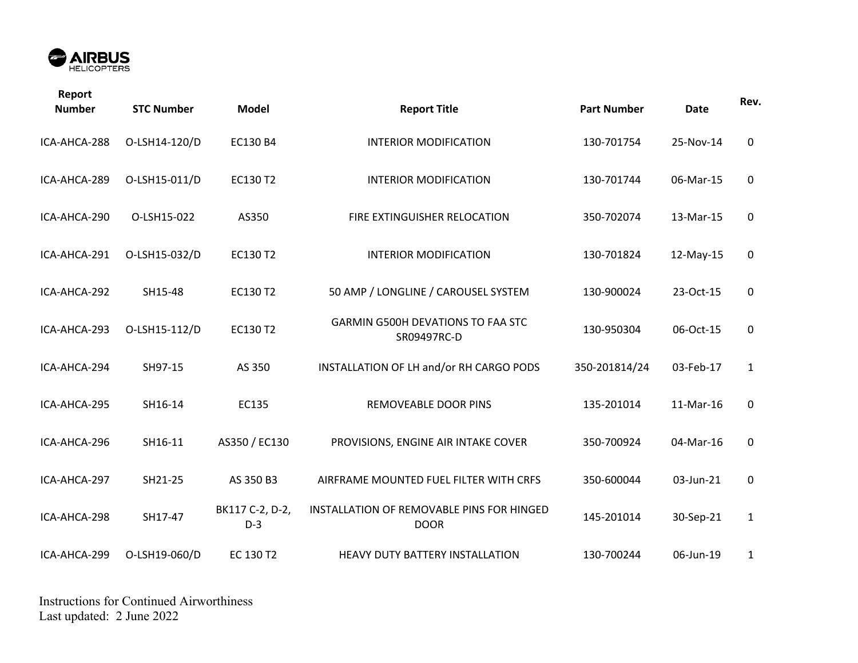

| Report<br><b>Number</b> | <b>STC Number</b> | <b>Model</b>             | <b>Report Title</b>                                      | <b>Part Number</b> | <b>Date</b> | Rev.         |
|-------------------------|-------------------|--------------------------|----------------------------------------------------------|--------------------|-------------|--------------|
| ICA-AHCA-288            | O-LSH14-120/D     | EC130 B4                 | <b>INTERIOR MODIFICATION</b>                             | 130-701754         | 25-Nov-14   | $\mathbf 0$  |
| ICA-AHCA-289            | O-LSH15-011/D     | EC130 T2                 | <b>INTERIOR MODIFICATION</b>                             | 130-701744         | 06-Mar-15   | $\mathbf 0$  |
| ICA-AHCA-290            | O-LSH15-022       | AS350                    | FIRE EXTINGUISHER RELOCATION                             | 350-702074         | 13-Mar-15   | 0            |
| ICA-AHCA-291            | O-LSH15-032/D     | EC130 T2                 | <b>INTERIOR MODIFICATION</b>                             | 130-701824         | 12-May-15   | 0            |
| ICA-AHCA-292            | SH15-48           | EC130 T2                 | 50 AMP / LONGLINE / CAROUSEL SYSTEM                      | 130-900024         | 23-Oct-15   | 0            |
| ICA-AHCA-293            | O-LSH15-112/D     | EC130 T2                 | <b>GARMIN G500H DEVATIONS TO FAA STC</b><br>SR09497RC-D  | 130-950304         | 06-Oct-15   | 0            |
| ICA-AHCA-294            | SH97-15           | AS 350                   | INSTALLATION OF LH and/or RH CARGO PODS                  | 350-201814/24      | 03-Feb-17   | $\mathbf{1}$ |
| ICA-AHCA-295            | SH16-14           | EC135                    | <b>REMOVEABLE DOOR PINS</b>                              | 135-201014         | 11-Mar-16   | $\mathbf 0$  |
| ICA-AHCA-296            | SH16-11           | AS350 / EC130            | PROVISIONS, ENGINE AIR INTAKE COVER                      | 350-700924         | 04-Mar-16   | $\pmb{0}$    |
| ICA-AHCA-297            | SH21-25           | AS 350 B3                | AIRFRAME MOUNTED FUEL FILTER WITH CRFS                   | 350-600044         | 03-Jun-21   | 0            |
| ICA-AHCA-298            | SH17-47           | BK117 C-2, D-2,<br>$D-3$ | INSTALLATION OF REMOVABLE PINS FOR HINGED<br><b>DOOR</b> | 145-201014         | 30-Sep-21   | $\mathbf 1$  |
| ICA-AHCA-299            | O-LSH19-060/D     | EC 130 T2                | HEAVY DUTY BATTERY INSTALLATION                          | 130-700244         | 06-Jun-19   | $\mathbf{1}$ |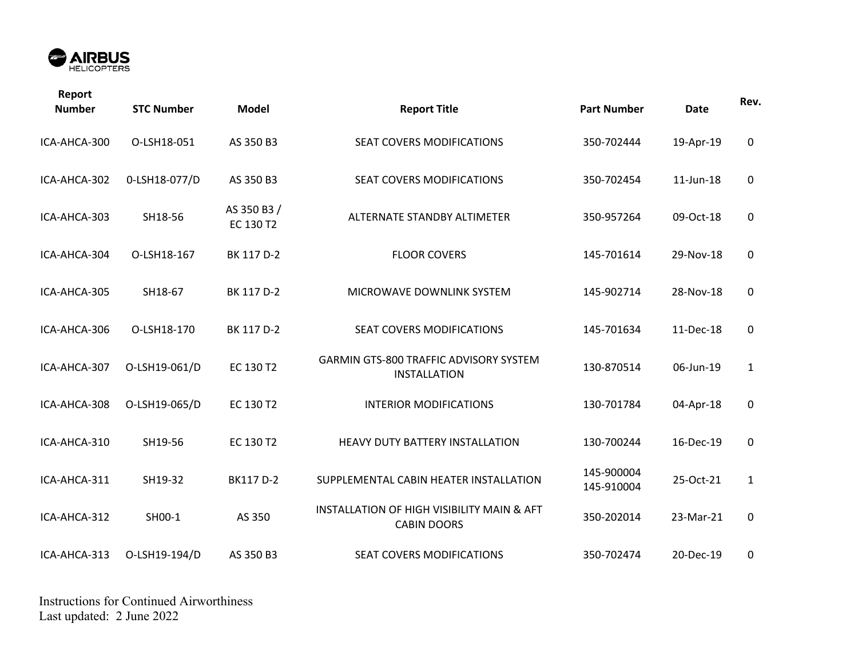

| Report<br><b>Number</b> | <b>STC Number</b> | <b>Model</b>             | <b>Report Title</b>                                                  | <b>Part Number</b>       | <b>Date</b> | Rev.         |
|-------------------------|-------------------|--------------------------|----------------------------------------------------------------------|--------------------------|-------------|--------------|
| ICA-AHCA-300            | O-LSH18-051       | AS 350 B3                | SEAT COVERS MODIFICATIONS                                            | 350-702444               | 19-Apr-19   | 0            |
| ICA-AHCA-302            | 0-LSH18-077/D     | AS 350 B3                | SEAT COVERS MODIFICATIONS                                            | 350-702454               | 11-Jun-18   | 0            |
| ICA-AHCA-303            | SH18-56           | AS 350 B3 /<br>EC 130 T2 | ALTERNATE STANDBY ALTIMETER                                          | 350-957264               | 09-Oct-18   | 0            |
| ICA-AHCA-304            | O-LSH18-167       | BK 117 D-2               | <b>FLOOR COVERS</b>                                                  | 145-701614               | 29-Nov-18   | 0            |
| ICA-AHCA-305            | SH18-67           | BK 117 D-2               | MICROWAVE DOWNLINK SYSTEM                                            | 145-902714               | 28-Nov-18   | 0            |
| ICA-AHCA-306            | O-LSH18-170       | BK 117 D-2               | SEAT COVERS MODIFICATIONS                                            | 145-701634               | 11-Dec-18   | 0            |
| ICA-AHCA-307            | O-LSH19-061/D     | EC 130 T2                | <b>GARMIN GTS-800 TRAFFIC ADVISORY SYSTEM</b><br><b>INSTALLATION</b> | 130-870514               | 06-Jun-19   | $\mathbf{1}$ |
| ICA-AHCA-308            | O-LSH19-065/D     | EC 130 T2                | <b>INTERIOR MODIFICATIONS</b>                                        | 130-701784               | 04-Apr-18   | $\mathbf 0$  |
| ICA-AHCA-310            | SH19-56           | EC 130 T2                | HEAVY DUTY BATTERY INSTALLATION                                      | 130-700244               | 16-Dec-19   | $\mathsf 0$  |
| ICA-AHCA-311            | SH19-32           | BK117 D-2                | SUPPLEMENTAL CABIN HEATER INSTALLATION                               | 145-900004<br>145-910004 | 25-Oct-21   | $\mathbf{1}$ |
| ICA-AHCA-312            | SH00-1            | AS 350                   | INSTALLATION OF HIGH VISIBILITY MAIN & AFT<br><b>CABIN DOORS</b>     | 350-202014               | 23-Mar-21   | $\mathbf 0$  |
| ICA-AHCA-313            | O-LSH19-194/D     | AS 350 B3                | SEAT COVERS MODIFICATIONS                                            | 350-702474               | 20-Dec-19   | $\mathbf 0$  |